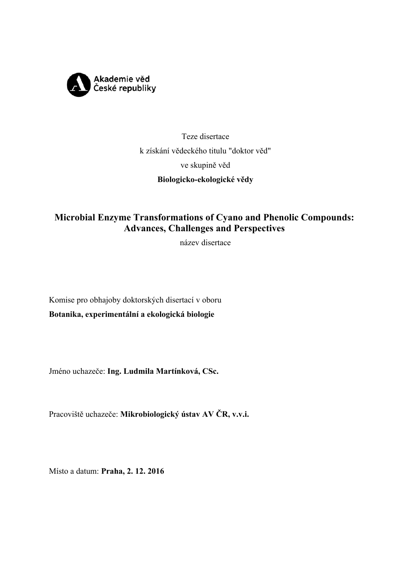

# Teze disertace k získání vědeckého titulu "doktor věd" ve skupině věd **Biologicko-ekologické vědy**

# **Microbial Enzyme Transformations of Cyano and Phenolic Compounds: Advances, Challenges and Perspectives**

název disertace

Komise pro obhajoby doktorských disertací v oboru **Botanika, experimentální a ekologická biologie**

Jméno uchazeče: **Ing. Ludmila Martínková, CSc.**

Pracoviště uchazeče: **Mikrobiologický ústav AV ČR, v.v.i.** 

Místo a datum: **Praha, 2. 12. 2016**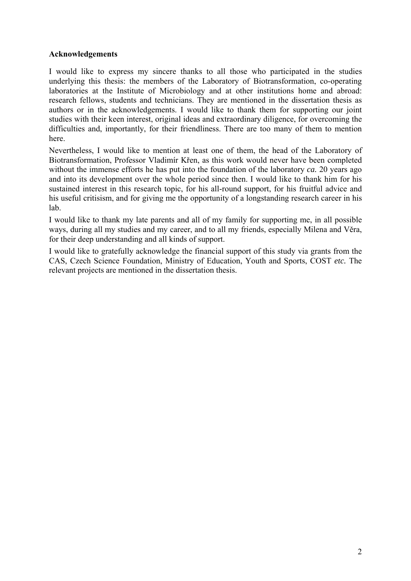#### **Acknowledgements**

I would like to express my sincere thanks to all those who participated in the studies underlying this thesis: the members of the Laboratory of Biotransformation, co-operating laboratories at the Institute of Microbiology and at other institutions home and abroad: research fellows, students and technicians. They are mentioned in the dissertation thesis as authors or in the acknowledgements. I would like to thank them for supporting our joint studies with their keen interest, original ideas and extraordinary diligence, for overcoming the difficulties and, importantly, for their friendliness. There are too many of them to mention here.

Nevertheless, I would like to mention at least one of them, the head of the Laboratory of Biotransformation, Professor Vladimír Křen, as this work would never have been completed without the immense efforts he has put into the foundation of the laboratory *ca.* 20 years ago and into its development over the whole period since then. I would like to thank him for his sustained interest in this research topic, for his all-round support, for his fruitful advice and his useful critisism, and for giving me the opportunity of a longstanding research career in his lab.

I would like to thank my late parents and all of my family for supporting me, in all possible ways, during all my studies and my career, and to all my friends, especially Milena and Věra, for their deep understanding and all kinds of support.

I would like to gratefully acknowledge the financial support of this study via grants from the CAS, Czech Science Foundation, Ministry of Education, Youth and Sports, COST *etc.* The relevant projects are mentioned in the dissertation thesis.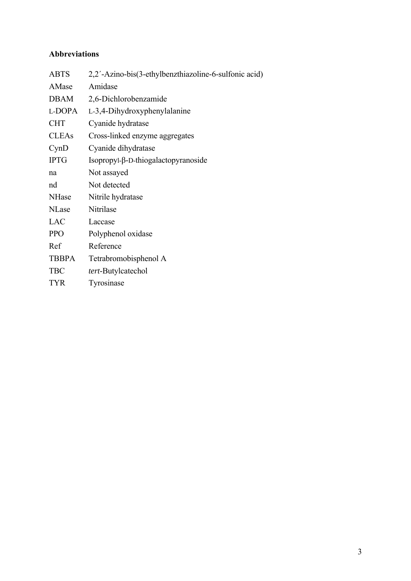## **Abbreviations**

| <b>ABTS</b>  | 2,2'-Azino-bis(3-ethylbenzthiazoline-6-sulfonic acid) |
|--------------|-------------------------------------------------------|
| AMase        | Amidase                                               |
| <b>DBAM</b>  | 2,6-Dichlorobenzamide                                 |
| L-DOPA       | L-3,4-Dihydroxyphenylalanine                          |
| <b>CHT</b>   | Cyanide hydratase                                     |
| <b>CLEAs</b> | Cross-linked enzyme aggregates                        |
| CynD         | Cyanide dihydratase                                   |
| <b>IPTG</b>  | $Isopropyl-\beta-D-thiogalactopy ranoside$            |
| na           | Not assayed                                           |
| nd           | Not detected                                          |
| <b>NHase</b> | Nitrile hydratase                                     |
| <b>NLase</b> | Nitrilase                                             |
| LAC          | Laccase                                               |
| <b>PPO</b>   | Polyphenol oxidase                                    |
| Ref          | Reference                                             |
| <b>TBBPA</b> | Tetrabromobisphenol A                                 |
| <b>TBC</b>   | <i>tert</i> -Butylcatechol                            |
| <b>TYR</b>   | Tyrosinase                                            |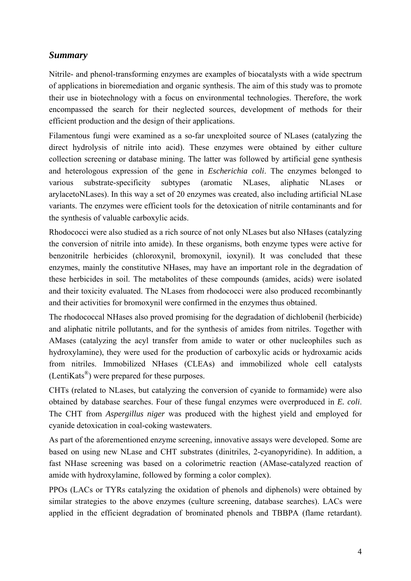## *Summary*

Nitrile- and phenol-transforming enzymes are examples of biocatalysts with a wide spectrum of applications in bioremediation and organic synthesis. The aim of this study was to promote their use in biotechnology with a focus on environmental technologies. Therefore, the work encompassed the search for their neglected sources, development of methods for their efficient production and the design of their applications.

Filamentous fungi were examined as a so-far unexploited source of NLases (catalyzing the direct hydrolysis of nitrile into acid). These enzymes were obtained by either culture collection screening or database mining. The latter was followed by artificial gene synthesis and heterologous expression of the gene in *Escherichia coli*. The enzymes belonged to various substrate-specificity subtypes (aromatic NLases, aliphatic NLases or arylacetoNLases). In this way a set of 20 enzymes was created, also including artificial NLase variants. The enzymes were efficient tools for the detoxication of nitrile contaminants and for the synthesis of valuable carboxylic acids.

Rhodococci were also studied as a rich source of not only NLases but also NHases (catalyzing the conversion of nitrile into amide). In these organisms, both enzyme types were active for benzonitrile herbicides (chloroxynil, bromoxynil, ioxynil). It was concluded that these enzymes, mainly the constitutive NHases, may have an important role in the degradation of these herbicides in soil. The metabolites of these compounds (amides, acids) were isolated and their toxicity evaluated. The NLases from rhodococci were also produced recombinantly and their activities for bromoxynil were confirmed in the enzymes thus obtained.

The rhodococcal NHases also proved promising for the degradation of dichlobenil (herbicide) and aliphatic nitrile pollutants, and for the synthesis of amides from nitriles. Together with AMases (catalyzing the acyl transfer from amide to water or other nucleophiles such as hydroxylamine), they were used for the production of carboxylic acids or hydroxamic acids from nitriles. Immobilized NHases (CLEAs) and immobilized whole cell catalysts (LentiKats®) were prepared for these purposes.

CHTs (related to NLases, but catalyzing the conversion of cyanide to formamide) were also obtained by database searches. Four of these fungal enzymes were overproduced in *E. coli*. The CHT from *Aspergillus niger* was produced with the highest yield and employed for cyanide detoxication in coal-coking wastewaters.

As part of the aforementioned enzyme screening, innovative assays were developed. Some are based on using new NLase and CHT substrates (dinitriles, 2-cyanopyridine). In addition, a fast NHase screening was based on a colorimetric reaction (AMase-catalyzed reaction of amide with hydroxylamine, followed by forming a color complex).

PPOs (LACs or TYRs catalyzing the oxidation of phenols and diphenols) were obtained by similar strategies to the above enzymes (culture screening, database searches). LACs were applied in the efficient degradation of brominated phenols and TBBPA (flame retardant).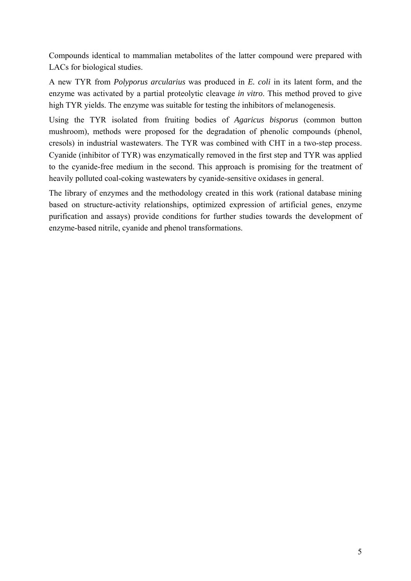Compounds identical to mammalian metabolites of the latter compound were prepared with LACs for biological studies.

A new TYR from *Polyporus arcularius* was produced in *E. coli* in its latent form, and the enzyme was activated by a partial proteolytic cleavage *in vitro*. This method proved to give high TYR yields. The enzyme was suitable for testing the inhibitors of melanogenesis.

Using the TYR isolated from fruiting bodies of *Agaricus bisporus* (common button mushroom), methods were proposed for the degradation of phenolic compounds (phenol, cresols) in industrial wastewaters. The TYR was combined with CHT in a two-step process. Cyanide (inhibitor of TYR) was enzymatically removed in the first step and TYR was applied to the cyanide-free medium in the second. This approach is promising for the treatment of heavily polluted coal-coking wastewaters by cyanide-sensitive oxidases in general.

The library of enzymes and the methodology created in this work (rational database mining based on structure-activity relationships, optimized expression of artificial genes, enzyme purification and assays) provide conditions for further studies towards the development of enzyme-based nitrile, cyanide and phenol transformations.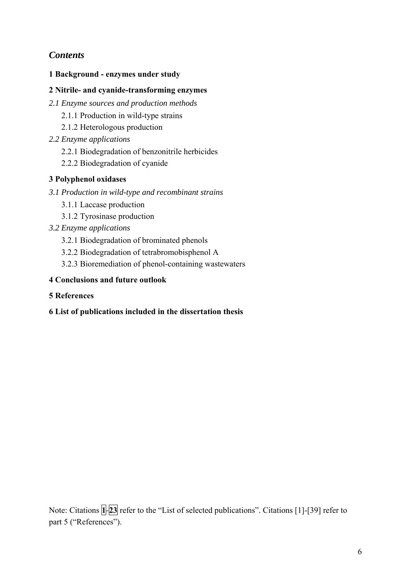# *Contents*

**1 Background - enzymes under study** 

#### **2 Nitrile- and cyanide-transforming enzymes**

- *2.1 Enzyme sources and production methods* 
	- 2.1.1 Production in wild-type strains
	- 2.1.2 Heterologous production
- *2.2 Enzyme applications* 
	- 2.2.1 Biodegradation of benzonitrile herbicides
	- 2.2.2 Biodegradation of cyanide

#### **3 Polyphenol oxidases**

- *3.1 Production in wild-type and recombinant strains* 
	- 3.1.1 Laccase production
	- 3.1.2 Tyrosinase production
- *3.2 Enzyme applications* 
	- 3.2.1 Biodegradation of brominated phenols
	- 3.2.2 Biodegradation of tetrabromobisphenol A
	- 3.2.3 Bioremediation of phenol-containing wastewaters

#### **4 Conclusions and future outlook**

**5 References** 

#### **6 List of publications included in the dissertation thesis**

Note: Citations  $\left[\frac{1}{23}\right]$  refer to the "List of selected publications". Citations [1]-[39] refer to part 5 ("References").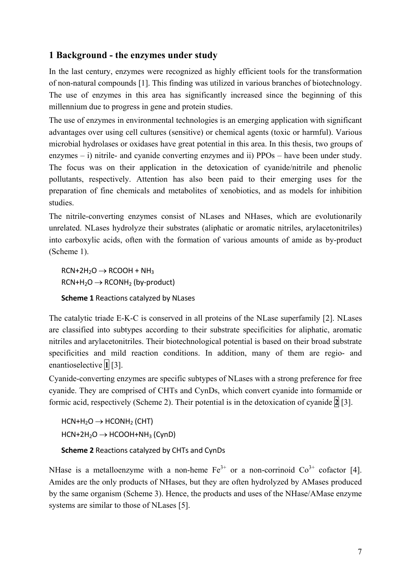## **1 Background - the enzymes under study**

In the last century, enzymes were recognized as highly efficient tools for the transformation of non-natural compounds [1]. This finding was utilized in various branches of biotechnology. The use of enzymes in this area has significantly increased since the beginning of this millennium due to progress in gene and protein studies.

The use of enzymes in environmental technologies is an emerging application with significant advantages over using cell cultures (sensitive) or chemical agents (toxic or harmful). Various microbial hydrolases or oxidases have great potential in this area. In this thesis, two groups of enzymes – i) nitrile- and cyanide converting enzymes and ii) PPOs – have been under study. The focus was on their application in the detoxication of cyanide/nitrile and phenolic pollutants, respectively. Attention has also been paid to their emerging uses for the preparation of fine chemicals and metabolites of xenobiotics, and as models for inhibition studies.

The nitrile-converting enzymes consist of NLases and NHases, which are evolutionarily unrelated. NLases hydrolyze their substrates (aliphatic or aromatic nitriles, arylacetonitriles) into carboxylic acids, often with the formation of various amounts of amide as by-product (Scheme 1).

 $RCN+2H_2O \rightarrow RCOOH + NH_3$  $RCN+H_2O \rightarrow RCONH_2$  (by-product)

**Scheme 1** Reactions catalyzed by NLases

The catalytic triade E-K-C is conserved in all proteins of the NLase superfamily [2]. NLases are classified into subtypes according to their substrate specificities for aliphatic, aromatic nitriles and arylacetonitriles. Their biotechnological potential is based on their broad substrate specificities and mild reaction conditions. In addition, many of them are regio- and enantioselective **1** [3].

Cyanide-converting enzymes are specific subtypes of NLases with a strong preference for free cyanide. They are comprised of CHTs and CynDs, which convert cyanide into formamide or formic acid, respectively (Scheme 2). Their potential is in the detoxication of cyanide  $\overline{2}$  [3].

 $HCN+H_2O \rightarrow HCONH_2$  (CHT)  $HCN+2H_2O \rightarrow HCOOH+NH_3 (CynD)$ **Scheme 2** Reactions catalyzed by CHTs and CynDs

NHase is a metalloenzyme with a non-heme  $Fe^{3+}$  or a non-corrinoid  $Co^{3+}$  cofactor [4]. Amides are the only products of NHases, but they are often hydrolyzed by AMases produced by the same organism (Scheme 3). Hence, the products and uses of the NHase/AMase enzyme systems are similar to those of NLases [5].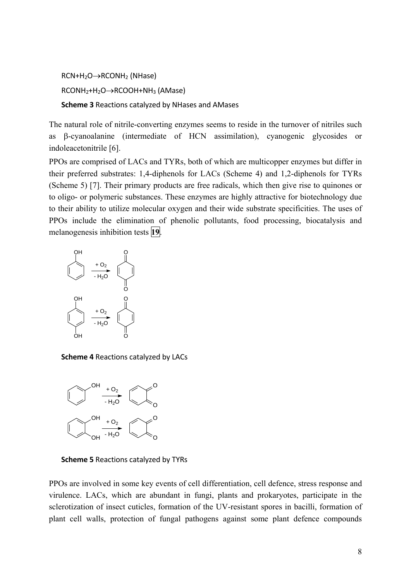```
RCN+H_2O \rightarrow RCONH_2 (NHase)
RCONH<sub>2</sub>+H<sub>2</sub>O \rightarrow RCOOH+NH<sub>3</sub> (AMase)Scheme 3 Reactions catalyzed by NHases and AMases
```
The natural role of nitrile-converting enzymes seems to reside in the turnover of nitriles such as  $\beta$ -cyanoalanine (intermediate of HCN assimilation), cyanogenic glycosides or indoleacetonitrile [6].

PPOs are comprised of LACs and TYRs, both of which are multicopper enzymes but differ in their preferred substrates: 1,4-diphenols for LACs (Scheme 4) and 1,2-diphenols for TYRs (Scheme 5) [7]. Their primary products are free radicals, which then give rise to quinones or to oligo- or polymeric substances. These enzymes are highly attractive for biotechnology due to their ability to utilize molecular oxygen and their wide substrate specificities. The uses of PPOs include the elimination of phenolic pollutants, food processing, biocatalysis and melanogenesis inhibition tests **19**.



**Scheme 4** Reactions catalyzed by LACs



**Scheme 5** Reactions catalyzed by TYRs

PPOs are involved in some key events of cell differentiation, cell defence, stress response and virulence. LACs, which are abundant in fungi, plants and prokaryotes, participate in the sclerotization of insect cuticles, formation of the UV-resistant spores in bacilli, formation of plant cell walls, protection of fungal pathogens against some plant defence compounds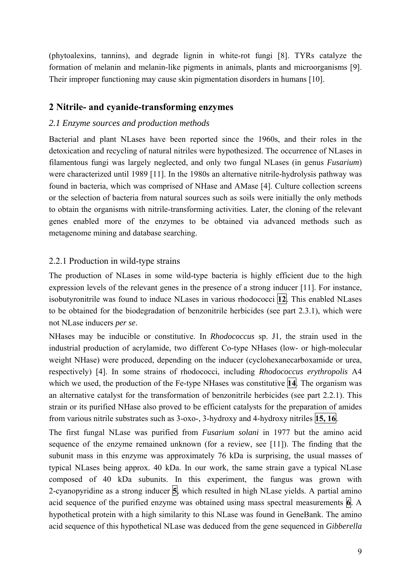(phytoalexins, tannins), and degrade lignin in white-rot fungi [8]. TYRs catalyze the formation of melanin and melanin-like pigments in animals, plants and microorganisms [9]. Their improper functioning may cause skin pigmentation disorders in humans [10].

#### **2 Nitrile- and cyanide-transforming enzymes**

#### *2.1 Enzyme sources and production methods*

Bacterial and plant NLases have been reported since the 1960s, and their roles in the detoxication and recycling of natural nitriles were hypothesized. The occurrence of NLases in filamentous fungi was largely neglected, and only two fungal NLases (in genus *Fusarium*) were characterized until 1989 [11]. In the 1980s an alternative nitrile-hydrolysis pathway was found in bacteria, which was comprised of NHase and AMase [4]. Culture collection screens or the selection of bacteria from natural sources such as soils were initially the only methods to obtain the organisms with nitrile-transforming activities. Later, the cloning of the relevant genes enabled more of the enzymes to be obtained via advanced methods such as metagenome mining and database searching.

#### 2.2.1 Production in wild-type strains

The production of NLases in some wild-type bacteria is highly efficient due to the high expression levels of the relevant genes in the presence of a strong inducer [11]. For instance, isobutyronitrile was found to induce NLases in various rhodococci **12**. This enabled NLases to be obtained for the biodegradation of benzonitrile herbicides (see part 2.3.1), which were not NLase inducers *per se*.

NHases may be inducible or constitutive. In *Rhodococcus* sp. J1, the strain used in the industrial production of acrylamide, two different Co-type NHases (low- or high-molecular weight NHase) were produced, depending on the inducer (cyclohexanecarboxamide or urea, respectively) [4]. In some strains of rhodococci, including *Rhodococcus erythropolis* A4 which we used, the production of the Fe-type NHases was constitutive **14**. The organism was an alternative catalyst for the transformation of benzonitrile herbicides (see part 2.2.1). This strain or its purified NHase also proved to be efficient catalysts for the preparation of amides from various nitrile substrates such as 3-oxo-, 3-hydroxy and 4-hydroxy nitriles **15, 16**.

The first fungal NLase was purified from *Fusarium solani* in 1977 but the amino acid sequence of the enzyme remained unknown (for a review, see [11]). The finding that the subunit mass in this enzyme was approximately 76 kDa is surprising, the usual masses of typical NLases being approx. 40 kDa. In our work, the same strain gave a typical NLase composed of 40 kDa subunits. In this experiment, the fungus was grown with 2-cyanopyridine as a strong inducer **5**, which resulted in high NLase yields. A partial amino acid sequence of the purified enzyme was obtained using mass spectral measurements **6**. A hypothetical protein with a high similarity to this NLase was found in GeneBank. The amino acid sequence of this hypothetical NLase was deduced from the gene sequenced in *Gibberella*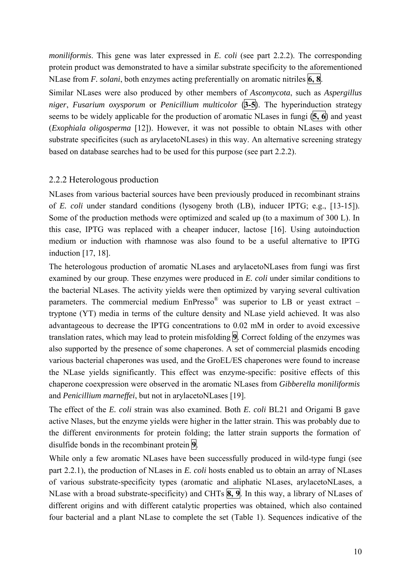*moniliformis*. This gene was later expressed in *E. coli* (see part 2.2.2). The corresponding protein product was demonstrated to have a similar substrate specificity to the aforementioned NLase from *F. solani*, both enzymes acting preferentially on aromatic nitriles **6, 8**.

Similar NLases were also produced by other members of *Ascomycota*, such as *Aspergillus niger*, *Fusarium oxysporum* or *Penicillium multicolor* (**3-5**). The hyperinduction strategy seems to be widely applicable for the production of aromatic NLases in fungi (**5, 6**) and yeast (*Exophiala oligosperma* [12]). However, it was not possible to obtain NLases with other substrate specificites (such as arylacetoNLases) in this way. An alternative screening strategy based on database searches had to be used for this purpose (see part 2.2.2).

#### 2.2.2 Heterologous production

NLases from various bacterial sources have been previously produced in recombinant strains of *E. coli* under standard conditions (lysogeny broth (LB), inducer IPTG; e.g., [13-15]). Some of the production methods were optimized and scaled up (to a maximum of 300 L). In this case, IPTG was replaced with a cheaper inducer, lactose [16]. Using autoinduction medium or induction with rhamnose was also found to be a useful alternative to IPTG induction [17, 18].

The heterologous production of aromatic NLases and arylacetoNLases from fungi was first examined by our group. These enzymes were produced in *E. coli* under similar conditions to the bacterial NLases. The activity yields were then optimized by varying several cultivation parameters. The commercial medium  $EnPresso^{\circledR}$  was superior to LB or yeast extract – tryptone (YT) media in terms of the culture density and NLase yield achieved. It was also advantageous to decrease the IPTG concentrations to 0.02 mM in order to avoid excessive translation rates, which may lead to protein misfolding **9**. Correct folding of the enzymes was also supported by the presence of some chaperones. A set of commercial plasmids encoding various bacterial chaperones was used, and the GroEL/ES chaperones were found to increase the NLase yields significantly. This effect was enzyme-specific: positive effects of this chaperone coexpression were observed in the aromatic NLases from *Gibberella moniliformis* and *Penicillium marneffei*, but not in arylacetoNLases [19].

The effect of the *E. coli* strain was also examined. Both *E. coli* BL21 and Origami B gave active Nlases, but the enzyme yields were higher in the latter strain. This was probably due to the different environments for protein folding; the latter strain supports the formation of disulfide bonds in the recombinant protein **9**.

While only a few aromatic NLases have been successfully produced in wild-type fungi (see part 2.2.1), the production of NLases in *E. coli* hosts enabled us to obtain an array of NLases of various substrate-specificity types (aromatic and aliphatic NLases, arylacetoNLases, a NLase with a broad substrate-specificity) and CHTs **8, 9**. In this way, a library of NLases of different origins and with different catalytic properties was obtained, which also contained four bacterial and a plant NLase to complete the set (Table 1). Sequences indicative of the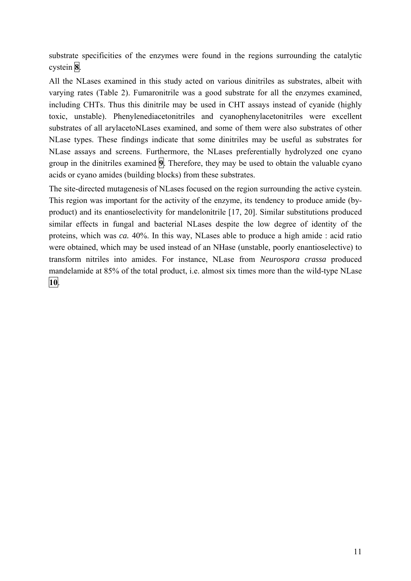substrate specificities of the enzymes were found in the regions surrounding the catalytic cystein **8**.

All the NLases examined in this study acted on various dinitriles as substrates, albeit with varying rates (Table 2). Fumaronitrile was a good substrate for all the enzymes examined, including CHTs. Thus this dinitrile may be used in CHT assays instead of cyanide (highly toxic, unstable). Phenylenediacetonitriles and cyanophenylacetonitriles were excellent substrates of all arylacetoNLases examined, and some of them were also substrates of other NLase types. These findings indicate that some dinitriles may be useful as substrates for NLase assays and screens. Furthermore, the NLases preferentially hydrolyzed one cyano group in the dinitriles examined **9**. Therefore, they may be used to obtain the valuable cyano acids or cyano amides (building blocks) from these substrates.

The site-directed mutagenesis of NLases focused on the region surrounding the active cystein. This region was important for the activity of the enzyme, its tendency to produce amide (byproduct) and its enantioselectivity for mandelonitrile [17, 20]. Similar substitutions produced similar effects in fungal and bacterial NLases despite the low degree of identity of the proteins, which was *ca.* 40%. In this way, NLases able to produce a high amide : acid ratio were obtained, which may be used instead of an NHase (unstable, poorly enantioselective) to transform nitriles into amides. For instance, NLase from *Neurospora crassa* produced mandelamide at 85% of the total product, i.e. almost six times more than the wild-type NLase **10**.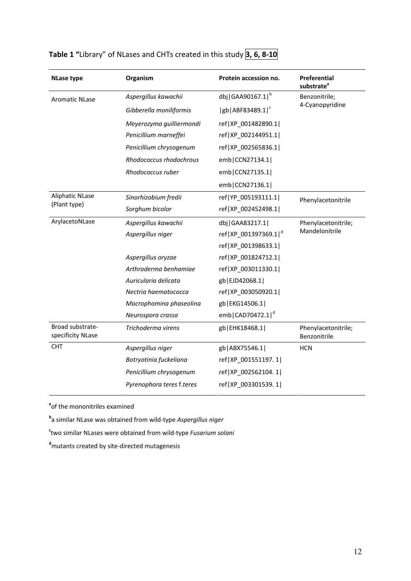| <b>NLase type</b>                     | Organism                  | Protein accession no. | Preferential<br>substrate <sup>a</sup> |  |
|---------------------------------------|---------------------------|-----------------------|----------------------------------------|--|
| <b>Aromatic NLase</b>                 | Aspergillus kawachii      | dbj   GAA90167.1   b  | Benzonitrile;                          |  |
|                                       | Gibberella moniliformis   | $ gb ABF83489.1 ^{c}$ | 4-Cyanopyridine                        |  |
|                                       | Meyerozyma guilliermondi  | ref XP_001482890.1    |                                        |  |
|                                       | Penicillium marneffei     | ref XP 002144951.1    |                                        |  |
|                                       | Penicillium chrysogenum   | ref XP_002565836.1    |                                        |  |
|                                       | Rhodococcus rhodochrous   | emb CCN27134.1        |                                        |  |
|                                       | Rhodococcus ruber         | emb CCN27135.1        |                                        |  |
|                                       |                           | emb CCN27136.1        |                                        |  |
| Aliphatic NLase                       | Sinorhizobium fredii      | ref YP 005193111.1    | Phenylacetonitrile                     |  |
| (Plant type)                          | Sorghum bicolor           | ref XP_002452498.1    |                                        |  |
| ArylacetoNLase                        | Aspergillus kawachii      | dbj   GAA83217.1      | Phenylacetonitrile;                    |  |
|                                       | Aspergillus niger         | ref XP 001397369.1 d  | Mandelonitrile                         |  |
|                                       |                           | ref XP 001398633.1    |                                        |  |
|                                       | Aspergillus oryzae        | ref XP_001824712.1    |                                        |  |
|                                       | Arthroderma benhamiae     | ref   XP 003011330.1  |                                        |  |
|                                       | Auricularia delicata      | gb EJD42068.1         |                                        |  |
|                                       | Nectria haematococca      | ref XP_003050920.1    |                                        |  |
|                                       | Macrophomina phaseolina   | gb EKG14506.1         |                                        |  |
|                                       | Neurospora crassa         | emb CAD70472.1 d      |                                        |  |
| Broad substrate-<br>specificity NLase | Trichoderma virens        | gb EHK18468.1         | Phenylacetonitrile;<br>Benzonitrile    |  |
| <b>CHT</b>                            | Aspergillus niger         | gb ABX75546.1         | <b>HCN</b>                             |  |
|                                       | Botryotinia fuckeliana    | ref XP_001551197.1    |                                        |  |
|                                       | Penicillium chrysogenum   | ref XP_002562104.1    |                                        |  |
|                                       | Pyrenophora teres f.teres | ref XP 003301539.1    |                                        |  |

# **Table 1 "**Library" of NLases and CHTs created in this study **3, 6, 8‐10**

**a** of the mononitriles examined

**b** a similar NLase was obtained from wild‐type *Aspergillus niger*

**c** two similar NLases were obtained from wild‐type *Fusarium solani*

**d** mutants created by site‐directed mutagenesis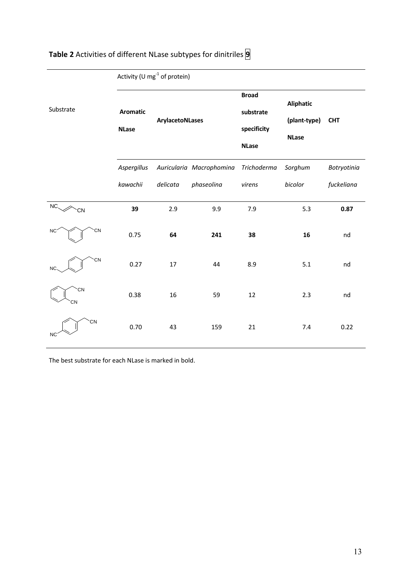|                 | Activity (U $mg^{-1}$ of protein) |                 |                          |                                                          |                                                  |             |
|-----------------|-----------------------------------|-----------------|--------------------------|----------------------------------------------------------|--------------------------------------------------|-------------|
| Substrate       | <b>Aromatic</b><br><b>NLase</b>   | ArylacetoNLases |                          | <b>Broad</b><br>substrate<br>specificity<br><b>NLase</b> | <b>Aliphatic</b><br>(plant-type)<br><b>NLase</b> | <b>CHT</b>  |
|                 | Aspergillus                       |                 | Auricularia Macrophomina | Trichoderma                                              | Sorghum                                          | Botryotinia |
|                 | kawachii                          | delicata        | phaseolina               | virens                                                   | bicolor                                          | fuckeliana  |
| NC.<br>CN       | 39                                | 2.9             | 9.9                      | 7.9                                                      | 5.3                                              | 0.87        |
| CN<br><b>NC</b> | 0.75                              | 64              | 241                      | 38                                                       | 16                                               | nd          |
| CN<br>NC        | 0.27                              | 17              | 44                       | 8.9                                                      | 5.1                                              | nd          |
| CN<br>CN        | 0.38                              | 16              | 59                       | 12                                                       | 2.3                                              | nd          |
| CN<br><b>NC</b> | 0.70                              | 43              | 159                      | 21                                                       | 7.4                                              | 0.22        |

# **Table 2** Activities of different NLase subtypes for dinitriles **9**

The best substrate for each NLase is marked in bold.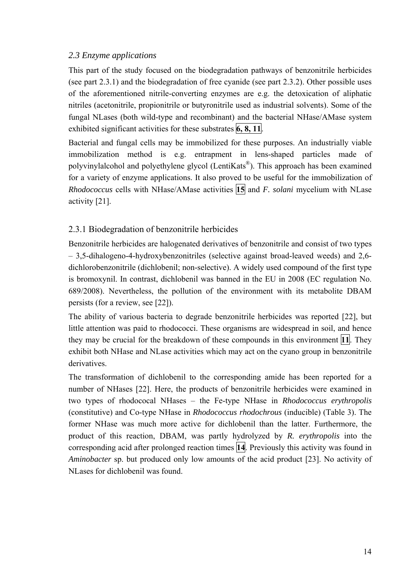#### *2.3 Enzyme applications*

This part of the study focused on the biodegradation pathways of benzonitrile herbicides (see part 2.3.1) and the biodegradation of free cyanide (see part 2.3.2). Other possible uses of the aforementioned nitrile-converting enzymes are e.g. the detoxication of aliphatic nitriles (acetonitrile, propionitrile or butyronitrile used as industrial solvents). Some of the fungal NLases (both wild-type and recombinant) and the bacterial NHase/AMase system exhibited significant activities for these substrates **6, 8, 11**.

Bacterial and fungal cells may be immobilized for these purposes. An industrially viable immobilization method is e.g. entrapment in lens-shaped particles made of polyvinylalcohol and polyethylene glycol (LentiKats®). This approach has been examined for a variety of enzyme applications. It also proved to be useful for the immobilization of *Rhodococcus* cells with NHase/AMase activities **15** and *F. solani* mycelium with NLase activity [21].

#### 2.3.1 Biodegradation of benzonitrile herbicides

Benzonitrile herbicides are halogenated derivatives of benzonitrile and consist of two types – 3,5-dihalogeno-4-hydroxybenzonitriles (selective against broad-leaved weeds) and 2,6 dichlorobenzonitrile (dichlobenil; non-selective). A widely used compound of the first type is bromoxynil. In contrast, dichlobenil was banned in the EU in 2008 (EC regulation No. 689/2008). Nevertheless, the pollution of the environment with its metabolite DBAM persists (for a review, see [22]).

The ability of various bacteria to degrade benzonitrile herbicides was reported [22], but little attention was paid to rhodococci. These organisms are widespread in soil, and hence they may be crucial for the breakdown of these compounds in this environment **11**. They exhibit both NHase and NLase activities which may act on the cyano group in benzonitrile derivatives.

The transformation of dichlobenil to the corresponding amide has been reported for a number of NHases [22]. Here, the products of benzonitrile herbicides were examined in two types of rhodococal NHases – the Fe-type NHase in *Rhodococcus erythropolis* (constitutive) and Co-type NHase in *Rhodococcus rhodochrous* (inducible) (Table 3). The former NHase was much more active for dichlobenil than the latter. Furthermore, the product of this reaction, DBAM, was partly hydrolyzed by *R. erythropolis* into the corresponding acid after prolonged reaction times **14**. Previously this activity was found in *Aminobacter* sp. but produced only low amounts of the acid product [23]. No activity of NLases for dichlobenil was found.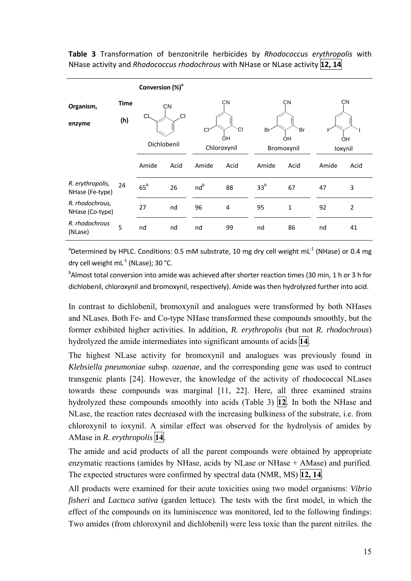**Table 3** Transformation of benzonitrile herbicides by *Rhodococcus erythropolis* with NHase activity and *Rhodococcus rhodochrous* with NHase or NLase activity **12, 14**

|                                     |                    | Conversion (%) <sup>a</sup> |      |                                   |      |                        |      |               |                |
|-------------------------------------|--------------------|-----------------------------|------|-----------------------------------|------|------------------------|------|---------------|----------------|
| Organism,<br>enzyme                 | <b>Time</b><br>(h) | CN<br>.CI<br>СI             |      | <b>CN</b><br>СI<br>C <sub>k</sub> |      | <b>CN</b><br>Br<br>`Br |      | <b>CN</b>     |                |
|                                     |                    | Dichlobenil                 |      | ÓΗ<br>Chloroxynil                 |      | OH<br>Bromoxynil       |      | OН<br>loxynil |                |
|                                     |                    | Amide                       | Acid | Amide                             | Acid | Amide                  | Acid | Amide         | Acid           |
| R. erythropolis,<br>NHase (Fe-type) | 24                 | $65^{\rm b}$                | 26   | nd <sup>b</sup>                   | 88   | 33 <sup>b</sup>        | 67   | 47            | 3              |
| R. rhodochrous,<br>NHase (Co-type)  |                    | 27                          | nd   | 96                                | 4    | 95                     | 1    | 92            | $\overline{2}$ |
| R. rhodochrous<br>(NLase)           | 5                  | nd                          | nd   | nd                                | 99   | nd                     | 86   | nd            | 41             |

<sup>a</sup>Determined by HPLC. Conditions: 0.5 mM substrate, 10 mg dry cell weight mL<sup>-1</sup> (NHase) or 0.4 mg dry cell weight  $mL<sup>-1</sup>$  (NLase): 30 °C.

 $^{\rm b}$ Almost total conversion into amide was achieved after shorter reaction times (30 min, 1 h or 3 h for dichlobenil, chloroxynil and bromoxynil, respectively). Amide was then hydrolyzed further into acid.

In contrast to dichlobenil, bromoxynil and analogues were transformed by both NHases and NLases. Both Fe- and Co-type NHase transformed these compounds smoothly, but the former exhibited higher activities. In addition, *R. erythropolis* (but not *R. rhodochrous*) hydrolyzed the amide intermediates into significant amounts of acids **14**.

The highest NLase activity for bromoxynil and analogues was previously found in *Klebsiella pneumoniae* subsp. *ozaenae*, and the corresponding gene was used to contruct transgenic plants [24]. However, the knowledge of the activity of rhodococcal NLases towards these compounds was marginal [11, 22]. Here, all three examined strains hydrolyzed these compounds smoothly into acids (Table 3) **12**. In both the NHase and NLase, the reaction rates decreased with the increasing bulkiness of the substrate, i.e. from chloroxynil to ioxynil. A similar effect was observed for the hydrolysis of amides by AMase in *R. erythropolis* **14**.

The amide and acid products of all the parent compounds were obtained by appropriate enzymatic reactions (amides by NHase, acids by NLase or NHase + AMase) and purified. The expected structures were confirmed by spectral data (NMR, MS) **12, 14**.

All products were examined for their acute toxicities using two model organisms: *Vibrio fisheri* and *Lactuca sativa* (garden lettuce). The tests with the first model, in which the effect of the compounds on its luminiscence was monitored, led to the following findings: Two amides (from chloroxynil and dichlobenil) were less toxic than the parent nitriles. the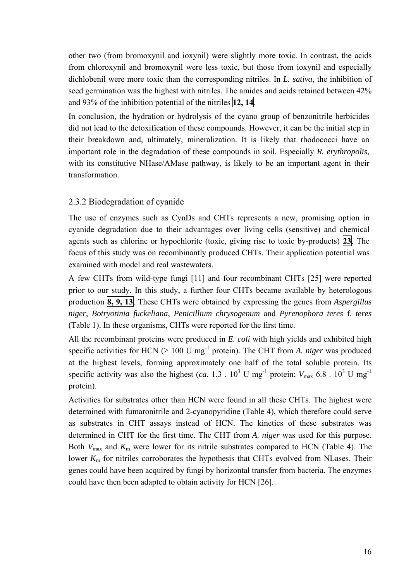other two (from bromoxynil and ioxynil) were slightly more toxic. In contrast, the acids from chloroxynil and bromoxynil were less toxic, but those from ioxynil and especially dichlobenil were more toxic than the corresponding nitriles. In *L. sativa*, the inhibition of seed germination was the highest with nitriles. The amides and acids retained between 42% and 93% of the inhibition potential of the nitriles **12, 14**.

In conclusion, the hydration or hydrolysis of the cyano group of benzonitrile herbicides did not lead to the detoxification of these compounds. However, it can be the initial step in their breakdown and, ultimately, mineralization. It is likely that rhodococci have an important role in the degradation of these compounds in soil. Especially *R. erythropolis*, with its constitutive NHase/AMase pathway, is likely to be an important agent in their transformation.

#### 2.3.2 Biodegradation of cyanide

The use of enzymes such as CynDs and CHTs represents a new, promising option in cyanide degradation due to their advantages over living cells (sensitive) and chemical agents such as chlorine or hypochlorite (toxic, giving rise to toxic by-products) **23**. The focus of this study was on recombinantly produced CHTs. Their application potential was examined with model and real wastewaters.

A few CHTs from wild-type fungi [11] and four recombinant CHTs [25] were reported prior to our study. In this study, a further four CHTs became available by heterologous production **8, 9, 13**. These CHTs were obtained by expressing the genes from *Aspergillus niger*, *Botryotinia fuckeliana*, *Penicillium chrysogenum* and *Pyrenophora teres* f. *teres*  (Table 1). In these organisms, CHTs were reported for the first time.

All the recombinant proteins were produced in *E. coli* with high yields and exhibited high specific activities for HCN ( $\geq 100$  U mg<sup>-1</sup> protein). The CHT from *A. niger* was produced at the highest levels, forming approximately one half of the total soluble protein. Its specific activity was also the highest (*ca.* 1.3 .  $10^3$  U mg<sup>-1</sup> protein;  $V_{\text{max}}$  6.8 .  $10^3$  U mg<sup>-1</sup> protein).

Activities for substrates other than HCN were found in all these CHTs. The highest were determined with fumaronitrile and 2-cyanopyridine (Table 4), which therefore could serve as substrates in CHT assays instead of HCN. The kinetics of these substrates was determined in CHT for the first time. The CHT from *A. niger* was used for this purpose. Both *V*<sub>max</sub> and *K*<sub>m</sub> were lower for its nitrile substrates compared to HCN (Table 4). The lower  $K<sub>m</sub>$  for nitriles corroborates the hypothesis that CHTs evolved from NLases. Their genes could have been acquired by fungi by horizontal transfer from bacteria. The enzymes could have then been adapted to obtain activity for HCN [26].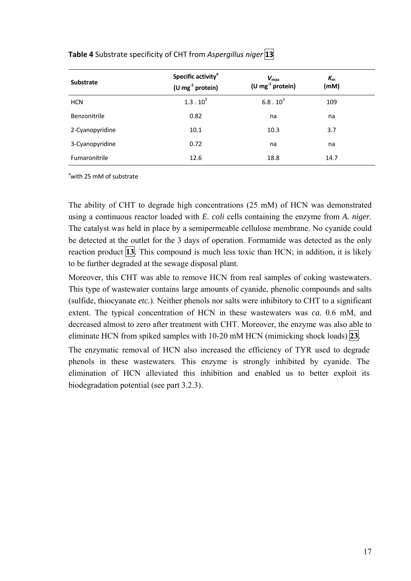| <b>Substrate</b> | Specific activity <sup>a</sup><br>(U mg $^{-1}$ protein) | $V_{\text{max}}$<br>(U mg $^{-1}$ protein) | $K_{m}$<br>(mM) |  |
|------------------|----------------------------------------------------------|--------------------------------------------|-----------------|--|
| <b>HCN</b>       | $1.3 \cdot 10^{3}$                                       | $6.8 \cdot 10^{3}$                         | 109             |  |
| Benzonitrile     | 0.82                                                     | na                                         | na              |  |
| 2-Cyanopyridine  | 10.1                                                     | 10.3                                       | 3.7             |  |
| 3-Cyanopyridine  | 0.72                                                     | na                                         | na              |  |
| Fumaronitrile    | 12.6                                                     | 18.8                                       | 14.7            |  |

#### **Table 4** Substrate specificity of CHT from *Aspergillus niger* **13**

<sup>a</sup>with 25 mM of substrate

The ability of CHT to degrade high concentrations (25 mM) of HCN was demonstrated using a continuous reactor loaded with *E. coli* cells containing the enzyme from *A. niger*. The catalyst was held in place by a semipermeable cellulose membrane. No cyanide could be detected at the outlet for the 3 days of operation. Formamide was detected as the only reaction product **13**. This compound is much less toxic than HCN; in addition, it is likely to be further degraded at the sewage disposal plant.

Moreover, this CHT was able to remove HCN from real samples of coking wastewaters. This type of wastewater contains large amounts of cyanide, phenolic compounds and salts (sulfide, thiocyanate *etc.*). Neither phenols nor salts were inhibitory to CHT to a significant extent. The typical concentration of HCN in these wastewaters was *ca.* 0.6 mM, and decreased almost to zero after treatment with CHT. Moreover, the enzyme was also able to eliminate HCN from spiked samples with 10-20 mM HCN (mimicking shock loads) **23**.

The enzymatic removal of HCN also increased the efficiency of TYR used to degrade phenols in these wastewaters. This enzyme is strongly inhibited by cyanide. The elimination of HCN alleviated this inhibition and enabled us to better exploit its biodegradation potential (see part 3.2.3).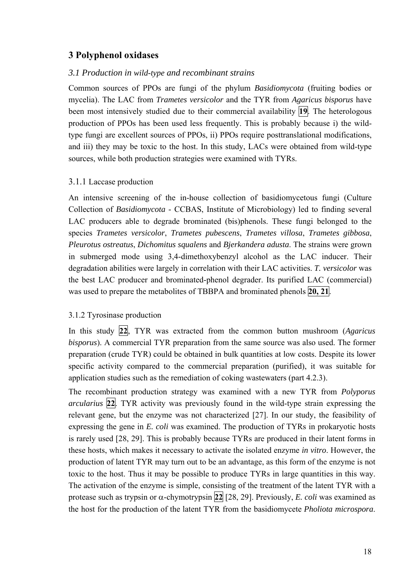#### **3 Polyphenol oxidases**

#### *3.1 Production in wild-type and recombinant strains*

Common sources of PPOs are fungi of the phylum *Basidiomycota* (fruiting bodies or mycelia). The LAC from *Trametes versicolor* and the TYR from *Agaricus bisporus* have been most intensively studied due to their commercial availability **19**. The heterologous production of PPOs has been used less frequently. This is probably because i) the wildtype fungi are excellent sources of PPOs, ii) PPOs require posttranslational modifications, and iii) they may be toxic to the host. In this study, LACs were obtained from wild-type sources, while both production strategies were examined with TYRs.

#### 3.1.1 Laccase production

An intensive screening of the in-house collection of basidiomycetous fungi (Culture Collection of *Basidiomycota* - CCBAS, Institute of Microbiology) led to finding several LAC producers able to degrade brominated (bis)phenols. These fungi belonged to the species *Trametes versicolor*, *Trametes pubescens*, *Trametes villosa*, *Trametes gibbosa*, *Pleurotus ostreatus*, *Dichomitus squalens* and *Bjerkandera adusta*. The strains were grown in submerged mode using 3,4-dimethoxybenzyl alcohol as the LAC inducer. Their degradation abilities were largely in correlation with their LAC activities. *T. versicolor* was the best LAC producer and brominated-phenol degrader. Its purified LAC (commercial) was used to prepare the metabolites of TBBPA and brominated phenols **20, 21**.

#### 3.1.2 Tyrosinase production

In this study **22**, TYR was extracted from the common button mushroom (*Agaricus bisporus*). A commercial TYR preparation from the same source was also used. The former preparation (crude TYR) could be obtained in bulk quantities at low costs. Despite its lower specific activity compared to the commercial preparation (purified), it was suitable for application studies such as the remediation of coking wastewaters (part 4.2.3).

The recombinant production strategy was examined with a new TYR from *Polyporus arcularius* **22**. TYR activity was previously found in the wild-type strain expressing the relevant gene, but the enzyme was not characterized [27]. In our study, the feasibility of expressing the gene in *E. coli* was examined. The production of TYRs in prokaryotic hosts is rarely used [28, 29]. This is probably because TYRs are produced in their latent forms in these hosts, which makes it necessary to activate the isolated enzyme *in vitro*. However, the production of latent TYR may turn out to be an advantage, as this form of the enzyme is not toxic to the host. Thus it may be possible to produce TYRs in large quantities in this way. The activation of the enzyme is simple, consisting of the treatment of the latent TYR with a protease such as trypsin or  $\alpha$ -chymotrypsin 22 [28, 29]. Previously, *E. coli* was examined as the host for the production of the latent TYR from the basidiomycete *Pholiota microspora*.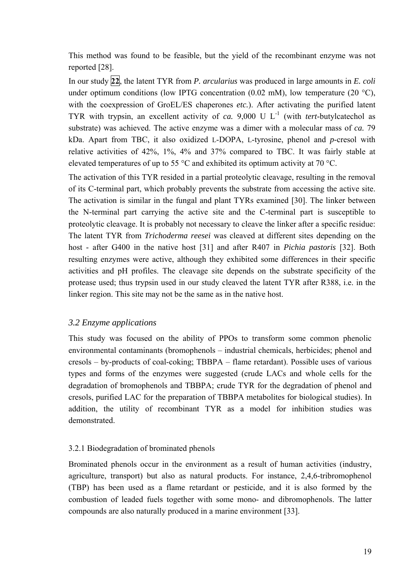This method was found to be feasible, but the yield of the recombinant enzyme was not reported [28].

In our study **22**, the latent TYR from *P. arcularius* was produced in large amounts in *E. coli* under optimum conditions (low IPTG concentration  $(0.02 \text{ mM})$ , low temperature  $(20 \text{ °C})$ , with the coexpression of GroEL/ES chaperones *etc.*). After activating the purified latent TYR with trypsin, an excellent activity of *ca.* 9,000 U  $L^{-1}$  (with *tert*-butylcatechol as substrate) was achieved. The active enzyme was a dimer with a molecular mass of *ca.* 79 kDa. Apart from TBC, it also oxidized L-DOPA, L-tyrosine, phenol and *p*-cresol with relative activities of 42%, 1%, 4% and 37% compared to TBC. It was fairly stable at elevated temperatures of up to 55 °C and exhibited its optimum activity at 70 °C.

The activation of this TYR resided in a partial proteolytic cleavage, resulting in the removal of its C-terminal part, which probably prevents the substrate from accessing the active site. The activation is similar in the fungal and plant TYRs examined [30]. The linker between the N-terminal part carrying the active site and the C-terminal part is susceptible to proteolytic cleavage. It is probably not necessary to cleave the linker after a specific residue: The latent TYR from *Trichoderma reesei* was cleaved at different sites depending on the host - after G400 in the native host [31] and after R407 in *Pichia pastoris* [32]. Both resulting enzymes were active, although they exhibited some differences in their specific activities and pH profiles. The cleavage site depends on the substrate specificity of the protease used; thus trypsin used in our study cleaved the latent TYR after R388, i.e. in the linker region. This site may not be the same as in the native host.

#### *3.2 Enzyme applications*

This study was focused on the ability of PPOs to transform some common phenolic environmental contaminants (bromophenols – industrial chemicals, herbicides; phenol and cresols – by-products of coal-coking; TBBPA – flame retardant). Possible uses of various types and forms of the enzymes were suggested (crude LACs and whole cells for the degradation of bromophenols and TBBPA; crude TYR for the degradation of phenol and cresols, purified LAC for the preparation of TBBPA metabolites for biological studies). In addition, the utility of recombinant TYR as a model for inhibition studies was demonstrated.

#### 3.2.1 Biodegradation of brominated phenols

Brominated phenols occur in the environment as a result of human activities (industry, agriculture, transport) but also as natural products. For instance, 2,4,6-tribromophenol (TBP) has been used as a flame retardant or pesticide, and it is also formed by the combustion of leaded fuels together with some mono- and dibromophenols. The latter compounds are also naturally produced in a marine environment [33].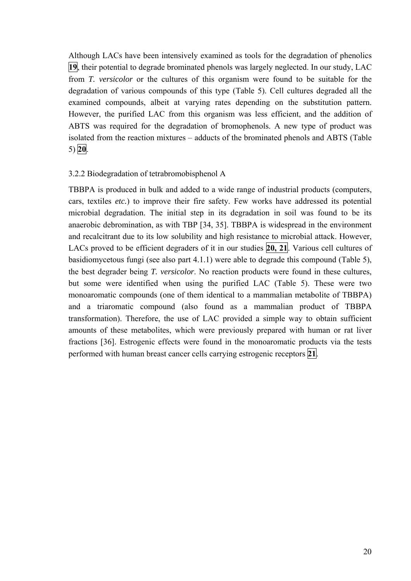Although LACs have been intensively examined as tools for the degradation of phenolics **19**, their potential to degrade brominated phenols was largely neglected. In our study, LAC from *T. versicolor* or the cultures of this organism were found to be suitable for the degradation of various compounds of this type (Table 5). Cell cultures degraded all the examined compounds, albeit at varying rates depending on the substitution pattern. However, the purified LAC from this organism was less efficient, and the addition of ABTS was required for the degradation of bromophenols. A new type of product was isolated from the reaction mixtures – adducts of the brominated phenols and ABTS (Table 5) **20**.

#### 3.2.2 Biodegradation of tetrabromobisphenol A

TBBPA is produced in bulk and added to a wide range of industrial products (computers, cars, textiles *etc.*) to improve their fire safety. Few works have addressed its potential microbial degradation. The initial step in its degradation in soil was found to be its anaerobic debromination, as with TBP [34, 35]. TBBPA is widespread in the environment and recalcitrant due to its low solubility and high resistance to microbial attack. However, LACs proved to be efficient degraders of it in our studies **20, 21**. Various cell cultures of basidiomycetous fungi (see also part 4.1.1) were able to degrade this compound (Table 5), the best degrader being *T. versicolor*. No reaction products were found in these cultures, but some were identified when using the purified LAC (Table 5). These were two monoaromatic compounds (one of them identical to a mammalian metabolite of TBBPA) and a triaromatic compound (also found as a mammalian product of TBBPA transformation). Therefore, the use of LAC provided a simple way to obtain sufficient amounts of these metabolites, which were previously prepared with human or rat liver fractions [36]. Estrogenic effects were found in the monoaromatic products via the tests performed with human breast cancer cells carrying estrogenic receptors **21**.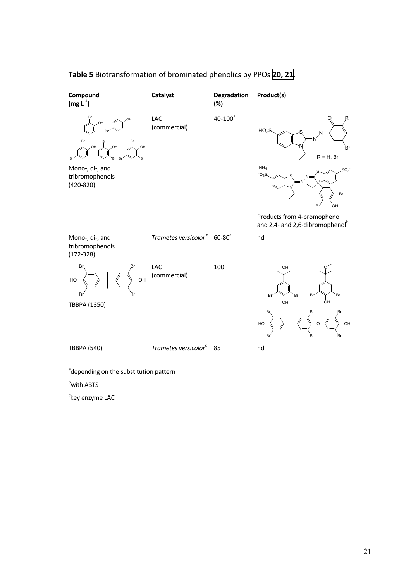| Compound<br>$(mg L-1)$                                      | Catalyst                                            | <b>Degradation</b><br>(%) | Product(s)                                                                  |
|-------------------------------------------------------------|-----------------------------------------------------|---------------------------|-----------------------------------------------------------------------------|
| Br<br>OH<br>OH<br>Br<br>Br<br>HO.<br>,OH<br>HO.<br>Br<br>Rr | LAC<br>(commercial)                                 | $40 - 100^a$              | $\circ$<br>R<br>HO <sub>3</sub> S<br>Br<br>$R = H$ , Br                     |
| Mono-, di-, and<br>tribromophenols<br>$(420 - 820)$         |                                                     |                           | $NH4$ <sup>+</sup><br>SO <sub>3</sub><br>O <sub>3</sub> S<br>Br<br>ЮH<br>Br |
|                                                             |                                                     |                           | Products from 4-bromophenol<br>and 2,4- and 2,6-dibromophenol <sup>b</sup>  |
| Mono-, di-, and<br>tribromophenols<br>$(172 - 328)$         | Trametes versicolor <sup>c</sup> 60-80 <sup>a</sup> |                           | nd                                                                          |
| Br<br>Br<br><b>OH</b><br>HO-<br>Br<br>Br                    | LAC<br>(commercial)                                 | 100                       | OH<br>Br<br>Br<br>Br<br>Br<br>ÓН<br>ÒН                                      |
| TBBPA (1350)                                                |                                                     |                           | Br.<br>Br<br>Br<br>·OH<br>HO<br>Br<br>Br<br>Br                              |
| <b>TBBPA (540)</b>                                          | Trametes versicolor <sup>c</sup>                    | 85                        | nd                                                                          |

# **Table 5** Biotransformation of brominated phenolics by PPOs **20, 21**.

<sup>a</sup>depending on the substitution pattern

<sup>b</sup>with ABTS

<sup>c</sup>key enzyme LAC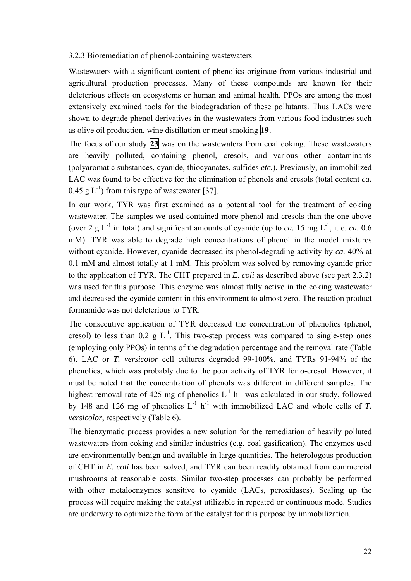#### 3.2.3 Bioremediation of phenol-containing wastewaters

Wastewaters with a significant content of phenolics originate from various industrial and agricultural production processes. Many of these compounds are known for their deleterious effects on ecosystems or human and animal health. PPOs are among the most extensively examined tools for the biodegradation of these pollutants. Thus LACs were shown to degrade phenol derivatives in the wastewaters from various food industries such as olive oil production, wine distillation or meat smoking **19**.

The focus of our study **23** was on the wastewaters from coal coking. These wastewaters are heavily polluted, containing phenol, cresols, and various other contaminants (polyaromatic substances, cyanide, thiocyanates, sulfides *etc.*). Previously, an immobilized LAC was found to be effective for the elimination of phenols and cresols (total content *ca.* 0.45 g  $L^{-1}$ ) from this type of wastewater [37].

In our work, TYR was first examined as a potential tool for the treatment of coking wastewater. The samples we used contained more phenol and cresols than the one above (over 2 g L<sup>-1</sup> in total) and significant amounts of cyanide (up to *ca.* 15 mg L<sup>-1</sup>, i. e. *ca.* 0.6 mM). TYR was able to degrade high concentrations of phenol in the model mixtures without cyanide. However, cyanide decreased its phenol-degrading activity by *ca.* 40% at 0.1 mM and almost totally at 1 mM. This problem was solved by removing cyanide prior to the application of TYR. The CHT prepared in *E. coli* as described above (see part 2.3.2) was used for this purpose. This enzyme was almost fully active in the coking wastewater and decreased the cyanide content in this environment to almost zero. The reaction product formamide was not deleterious to TYR.

The consecutive application of TYR decreased the concentration of phenolics (phenol, cresol) to less than 0.2 g  $L^{-1}$ . This two-step process was compared to single-step ones (employing only PPOs) in terms of the degradation percentage and the removal rate (Table 6). LAC or *T. versicolor* cell cultures degraded 99-100%, and TYRs 91-94% of the phenolics, which was probably due to the poor activity of TYR for *o*-cresol. However, it must be noted that the concentration of phenols was different in different samples. The highest removal rate of 425 mg of phenolics  $L^{-1}$  h<sup>-1</sup> was calculated in our study, followed by 148 and 126 mg of phenolics  $L^{-1}$  h<sup>-1</sup> with immobilized LAC and whole cells of *T*. *versicolor*, respectively (Table 6).

The bienzymatic process provides a new solution for the remediation of heavily polluted wastewaters from coking and similar industries (e.g. coal gasification). The enzymes used are environmentally benign and available in large quantities. The heterologous production of CHT in *E. coli* has been solved, and TYR can been readily obtained from commercial mushrooms at reasonable costs. Similar two-step processes can probably be performed with other metaloenzymes sensitive to cyanide (LACs, peroxidases). Scaling up the process will require making the catalyst utilizable in repeated or continuous mode. Studies are underway to optimize the form of the catalyst for this purpose by immobilization.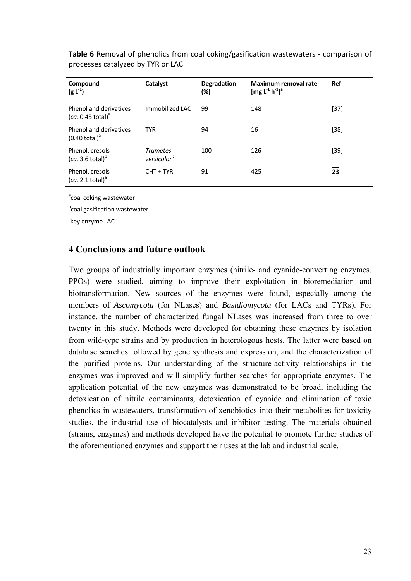| Compound<br>$(g L^{-1})$                                | Catalyst                                   | <b>Degradation</b><br>(%) | Maximum removal rate<br>[mg $L^{-1} h^{-1}$ ] <sup>a</sup> | Ref    |
|---------------------------------------------------------|--------------------------------------------|---------------------------|------------------------------------------------------------|--------|
| Phenol and derivatives<br>(ca. 0.45 total) <sup>d</sup> | Immobilized LAC                            | 99                        | 148                                                        | $[37]$ |
| Phenol and derivatives<br>$(0.40 \text{ total})^3$      | <b>TYR</b>                                 | 94                        | 16                                                         | $[38]$ |
| Phenol, cresols<br>(ca. 3.6 total) <sup>b</sup>         | <b>Trametes</b><br>versicolor <sup>c</sup> | 100                       | 126                                                        | $[39]$ |
| Phenol, cresols<br>(ca. 2.1 total) <sup>a</sup>         | $CHT + TYR$                                | 91                        | 425                                                        | 23     |

**Table 6** Removal of phenolics from coal coking/gasification wastewaters ‐ comparison of processes catalyzed by TYR or LAC

<sup>a</sup>coal coking wastewater

**b**coal gasification wastewater

<sup>c</sup>key enzyme LAC

#### **4 Conclusions and future outlook**

Two groups of industrially important enzymes (nitrile- and cyanide-converting enzymes, PPOs) were studied, aiming to improve their exploitation in bioremediation and biotransformation. New sources of the enzymes were found, especially among the members of *Ascomycota* (for NLases) and *Basidiomycota* (for LACs and TYRs). For instance, the number of characterized fungal NLases was increased from three to over twenty in this study. Methods were developed for obtaining these enzymes by isolation from wild-type strains and by production in heterologous hosts. The latter were based on database searches followed by gene synthesis and expression, and the characterization of the purified proteins. Our understanding of the structure-activity relationships in the enzymes was improved and will simplify further searches for appropriate enzymes. The application potential of the new enzymes was demonstrated to be broad, including the detoxication of nitrile contaminants, detoxication of cyanide and elimination of toxic phenolics in wastewaters, transformation of xenobiotics into their metabolites for toxicity studies, the industrial use of biocatalysts and inhibitor testing. The materials obtained (strains, enzymes) and methods developed have the potential to promote further studies of the aforementioned enzymes and support their uses at the lab and industrial scale.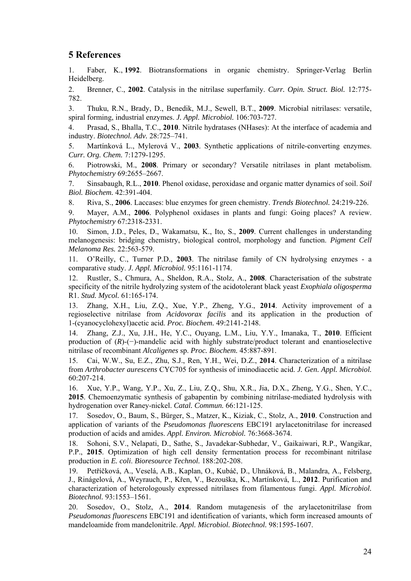#### **5 References**

1. Faber, K., **1992**. Biotransformations in organic chemistry. Springer-Verlag Berlin Heidelberg.

2. Brenner, C., **2002**. Catalysis in the nitrilase superfamily. *Curr. Opin. Struct. Biol.* 12:775- 782.

3. Thuku, R.N., Brady, D., Benedik, M.J., Sewell, B.T., **2009**. Microbial nitrilases: versatile, spiral forming, industrial enzymes. *J. Appl. Microbiol.* 106:703-727.

4. Prasad, S., Bhalla, T.C., **2010**. Nitrile hydratases (NHases): At the interface of academia and industry. *Biotechnol. Adv.* 28:725–741.

5. Martínková L., Mylerová V., **2003**. Synthetic applications of nitrile-converting enzymes. *Curr. Org. Chem.* 7:1279-1295.

6. Piotrowski, M., **2008**. Primary or secondary? Versatile nitrilases in plant metabolism. *Phytochemistry* 69:2655–2667.

7. Sinsabaugh, R.L., **2010**. Phenol oxidase, peroxidase and organic matter dynamics of soil. *Soil Biol. Biochem.* 42:391-404.

8. Riva, S., **2006**. Laccases: blue enzymes for green chemistry. *Trends Biotechnol.* 24:219-226.

9. Mayer, A.M., **2006**. Polyphenol oxidases in plants and fungi: Going places? A review. *Phytochemistry* 67:2318-2331.

10. Simon, J.D., Peles, D., Wakamatsu, K., Ito, S., **2009**. Current challenges in understanding melanogenesis: bridging chemistry, biological control, morphology and function. *Pigment Cell Melanoma Res.* 22:563-579.

11. O'Reilly, C., Turner P.D., **2003**. The nitrilase family of CN hydrolysing enzymes - a comparative study. *J. Appl. Microbiol.* 95:1161-1174.

12. Rustler, S., Chmura, A., Sheldon, R.A., Stolz, A., **2008**. Characterisation of the substrate specificity of the nitrile hydrolyzing system of the acidotolerant black yeast *Exophiala oligosperma* R1. *Stud. Mycol.* 61:165-174.

13. Zhang, X.H., Liu, Z.Q., Xue, Y.P., Zheng, Y.G., **2014**. Activity improvement of a regioselective nitrilase from *Acidovorax facilis* and its application in the production of 1-(cyanocyclohexyl)acetic acid. *Proc. Biochem.* 49:2141-2148.

14. Zhang, Z.J., Xu, J.H., He, Y.C., Ouyang, L.M., Liu, Y.Y., Imanaka, T., **2010**. Efficient production of (*R*)-(−)-mandelic acid with highly substrate/product tolerant and enantioselective nitrilase of recombinant *Alcaligenes* sp. *Proc. Biochem.* 45:887-891.

15. Cai, W.W., Su, E.Z., Zhu, S.J., Ren, Y.H., Wei, D.Z., **2014**. Characterization of a nitrilase from *Arthrobacter aurescens* CYC705 for synthesis of iminodiacetic acid. *J. Gen. Appl. Microbiol.* 60:207-214.

16. Xue, Y.P., Wang, Y.P., Xu, Z., Liu, Z.Q., Shu, X.R., Jia, D.X., Zheng, Y.G., Shen, Y.C., **2015**. Chemoenzymatic synthesis of gabapentin by combining nitrilase-mediated hydrolysis with hydrogenation over Raney-nickel. *Catal. Commun.* 66:121-125.

17. Sosedov, O., Baum, S., Bürger, S., Matzer, K., Kiziak, C., Stolz, A., **2010**. Construction and application of variants of the *Pseudomonas fluorescens* EBC191 arylacetonitrilase for increased production of acids and amides. *Appl. Environ. Microbiol.* 76:3668-3674.

18. Sohoni, S.V., Nelapati, D., Sathe, S., Javadekar-Subhedar, V., Gaikaiwari, R.P., Wangikar, P.P., **2015**. Optimization of high cell density fermentation process for recombinant nitrilase production in *E. coli*. *Bioresource Technol.* 188:202-208.

19. Petříčková, A., Veselá, A.B., Kaplan, O., Kubáč, D., Uhnáková, B., Malandra, A., Felsberg, J., Rinágelová, A., Weyrauch, P., Křen, V., Bezouška, K., Martínková, L., **2012**. Purification and characterization of heterologously expressed nitrilases from filamentous fungi. *Appl. Microbiol. Biotechnol.* 93:1553–1561.

20. Sosedov, O., Stolz, A., **2014**. Random mutagenesis of the arylacetonitrilase from *Pseudomonas fluorescens* EBC191 and identification of variants, which form increased amounts of mandeloamide from mandelonitrile. *Appl. Microbiol. Biotechnol.* 98:1595-1607.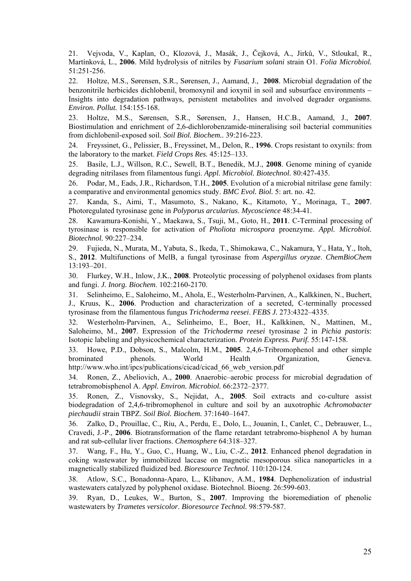21. Vejvoda, V., Kaplan, O., Klozová, J., Masák, J., Čejková, A., Jirků, V., Stloukal, R., Martínková, L., **2006**. Mild hydrolysis of nitriles by *Fusarium solani* strain O1. *Folia Microbiol.* 51:251-256.

22. Holtze, M.S., Sørensen, S.R., Sørensen, J., Aamand, J., **2008**. Microbial degradation of the benzonitrile herbicides dichlobenil, bromoxynil and ioxynil in soil and subsurface environments Insights into degradation pathways, persistent metabolites and involved degrader organisms. *Environ. Pollut.* 154:155-168.

23. Holtze, M.S., Sørensen, S.R., Sørensen, J., Hansen, H.C.B., Aamand, J., **2007**. Biostimulation and enrichment of 2,6-dichlorobenzamide-mineralising soil bacterial communities from dichlobenil-exposed soil. *Soil Biol. Biochem..* 39:216-223.

24. Freyssinet, G., Pelissier, B., Freyssinet, M., Delon, R., **1996**. Crops resistant to oxynils: from the laboratory to the market. *Field Crops Res.* 45:125–133.

25. Basile, L.J., Willson, R.C., Sewell, B.T., Benedik, M.J., **2008**. Genome mining of cyanide degrading nitrilases from filamentous fungi. *Appl. Microbiol. Biotechnol.* 80:427-435.

26. Podar, M., Eads, J.R., Richardson, T.H., **2005**. Evolution of a microbial nitrilase gene family: a comparative and environmental genomics study. *BMC Evol. Biol.* 5: art. no. 42.

27. Kanda, S., Aimi, T., Masumoto, S., Nakano, K., Kitamoto, Y., Morinaga, T., **2007**. Photoregulated tyrosinase gene in *Polyporus arcularius*. *Mycoscience* 48:34-41.

28. Kawamura-Konishi, Y., Maekawa, S., Tsuji, M., Goto, H., **2011**. C-Terminal processing of tyrosinase is responsible for activation of *Pholiota microspora* proenzyme. *Appl. Microbiol. Biotechnol.* 90:227–234.

29. Fujieda, N., Murata, M., Yabuta, S., Ikeda, T., Shimokawa, C., Nakamura, Y., Hata, Y., Itoh, S., **2012**. Multifunctions of MelB, a fungal tyrosinase from *Aspergillus oryzae*. *ChemBioChem* 13:193–201.

30. Flurkey, W.H., Inlow, J.K., **2008**. Proteolytic processing of polyphenol oxidases from plants and fungi. *J. Inorg. Biochem*. 102:2160-2170.

31. Selinheimo, E., Saloheimo, M., Ahola, E., Westerholm-Parvinen, A., Kalkkinen, N., Buchert, J., Kruus, K., **2006**. Production and characterization of a secreted, C-terminally processed tyrosinase from the filamentous fungus *Trichoderma reesei*. *FEBS J.* 273:4322–4335.

32. Westerholm-Parvinen, A., Selinheimo, E., Boer, H., Kalkkinen, N., Mattinen, M., Saloheimo, M., **2007**. Expression of the *Trichoderma reesei* tyrosinase 2 in *Pichia pastoris*: Isotopic labeling and physicochemical characterization. *Protein Express. Purif.* 55:147-158.

33. Howe, P.D., Dobson, S., Malcolm, H.M., **2005**. 2,4,6-Tribromophenol and other simple brominated phenols. World Health Organization, Geneva. http://www.who.int/ipcs/publications/cicad/cicad 66 web version.pdf

34. Ronen, Z., Abeliovich, A., **2000**. Anaerobic–aerobic process for microbial degradation of tetrabromobisphenol A. *Appl. Environ. Microbiol.* 66:2372–2377.

35. Ronen, Z., Visnovsky, S., Nejidat, A., **2005**. Soil extracts and co-culture assist biodegradation of 2,4,6-tribromophenol in culture and soil by an auxotrophic *Achromobacter piechaudii* strain TBPZ. *Soil Biol. Biochem.* 37:1640–1647.

36. Zalko, D., Prouillac, C., Riu, A., Perdu, E., Dolo, L., Jouanin, I., Canlet, C., Debrauwer, L., Cravedi, J.-P., **2006**. Biotransformation of the flame retardant tetrabromo-bisphenol A by human and rat sub-cellular liver fractions. *Chemosphere* 64:318–327.

37. Wang, F., Hu, Y., Guo, C., Huang, W., Liu, C.-Z., **2012**. Enhanced phenol degradation in coking wastewater by immobilized laccase on magnetic mesoporous silica nanoparticles in a magnetically stabilized fluidized bed. *Bioresource Technol.* 110:120-124.

38. Atlow, S.C., Bonadonna-Aparo, L., Klibanov, A.M., **1984**. Dephenolization of industrial wastewaters catalyzed by polyphenol oxidase. Biotechnol. Bioeng. 26:599-603.

39. Ryan, D., Leukes, W., Burton, S., **2007**. Improving the bioremediation of phenolic wastewaters by *Trametes versicolor*. *Bioresource Technol.* 98:579-587.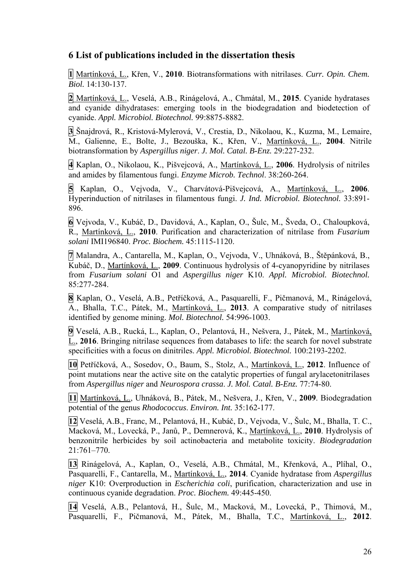## **6 List of publications included in the dissertation thesis**

**1** Martínková, L., Křen, V., **2010**. Biotransformations with nitrilases. *Curr. Opin. Chem. Biol.* 14:130-137.

**2** Martínková, L., Veselá, A.B., Rinágelová, A., Chmátal, M., **2015**. Cyanide hydratases and cyanide dihydratases: emerging tools in the biodegradation and biodetection of cyanide. *Appl. Microbiol. Biotechnol.* 99:8875-8882.

**3** Šnajdrová, R., Kristová-Mylerová, V., Crestia, D., Nikolaou, K., Kuzma, M., Lemaire, M., Galienne, E., Bolte, J., Bezouška, K., Křen, V., Martínková, L., **2004**. Nitrile biotransformation by *Aspergillus niger*. *J. Mol. Catal. B-Enz.* 29:227-232.

**4** Kaplan, O., Nikolaou, K., Pišvejcová, A., Martínková, L., **2006**. Hydrolysis of nitriles and amides by filamentous fungi. *Enzyme Microb. Technol*. 38:260-264.

**5** Kaplan, O., Vejvoda, V., Charvátová-Pišvejcová, A., Martínková, L., **2006**. Hyperinduction of nitrilases in filamentous fungi. *J. Ind. Microbiol. Biotechnol.* 33:891- 896.

**6** Vejvoda, V., Kubáč, D., Davidová, A., Kaplan, O., Šulc, M., Šveda, O., Chaloupková, R., Martínková, L., **2010**. Purification and characterization of nitrilase from *Fusarium solani* IMI196840. *Proc. Biochem.* 45:1115-1120.

**7** Malandra, A., Cantarella, M., Kaplan, O., Vejvoda, V., Uhnáková, B., Štěpánková, B., Kubáč, D., Martínková, L., **2009**. Continuous hydrolysis of 4-cyanopyridine by nitrilases from *Fusarium solani* O1 and *Aspergillus niger* K10. *Appl. Microbiol. Biotechnol.*  85:277-284.

**8** Kaplan, O., Veselá, A.B., Petříčková, A., Pasquarelli, F., Pičmanová, M., Rinágelová, A., Bhalla, T.C., Pátek, M., Martínková, L., **2013**. A comparative study of nitrilases identified by genome mining. *Mol. Biotechnol.* 54:996-1003.

**9** Veselá, A.B., Rucká, L., Kaplan, O., Pelantová, H., Nešvera, J., Pátek, M., Martínková, L., **2016**. Bringing nitrilase sequences from databases to life: the search for novel substrate specificities with a focus on dinitriles. *Appl. Microbiol. Biotechnol.* 100:2193-2202.

**10** Petříčková, A., Sosedov, O., Baum, S., Stolz, A., Martínková, L., **2012**. Influence of point mutations near the active site on the catalytic properties of fungal arylacetonitrilases from *Aspergillus niger* and *Neurospora crassa*. *J. Mol. Catal. B-Enz.* 77:74-80.

**11** Martínková, L., Uhnáková, B., Pátek, M., Nešvera, J., Křen, V., **2009**. Biodegradation potential of the genus *Rhodococcus*. *Environ. Int.* 35:162-177.

**12** Veselá, A.B., Franc, M., Pelantová, H., Kubáč, D., Vejvoda, V., Šulc, M., Bhalla, T. C., Macková, M., Lovecká, P., Janů, P., Demnerová, K., Martínková, L., **2010**. Hydrolysis of benzonitrile herbicides by soil actinobacteria and metabolite toxicity. *Biodegradation* 21:761–770.

**13** Rinágelová, A., Kaplan, O., Veselá, A.B., Chmátal, M., Křenková, A., Plíhal, O., Pasquarelli, F., Cantarella, M., Martínková, L., **2014**. Cyanide hydratase from *Aspergillus niger* K10: Overproduction in *Escherichia coli*, purification, characterization and use in continuous cyanide degradation. *Proc. Biochem.* 49:445-450.

**14** Veselá, A.B., Pelantová, H., Šulc, M., Macková, M., Lovecká, P., Thimová, M., Pasquarelli, F., Pičmanová, M., Pátek, M., Bhalla, T.C., Martínková, L., **2012**.